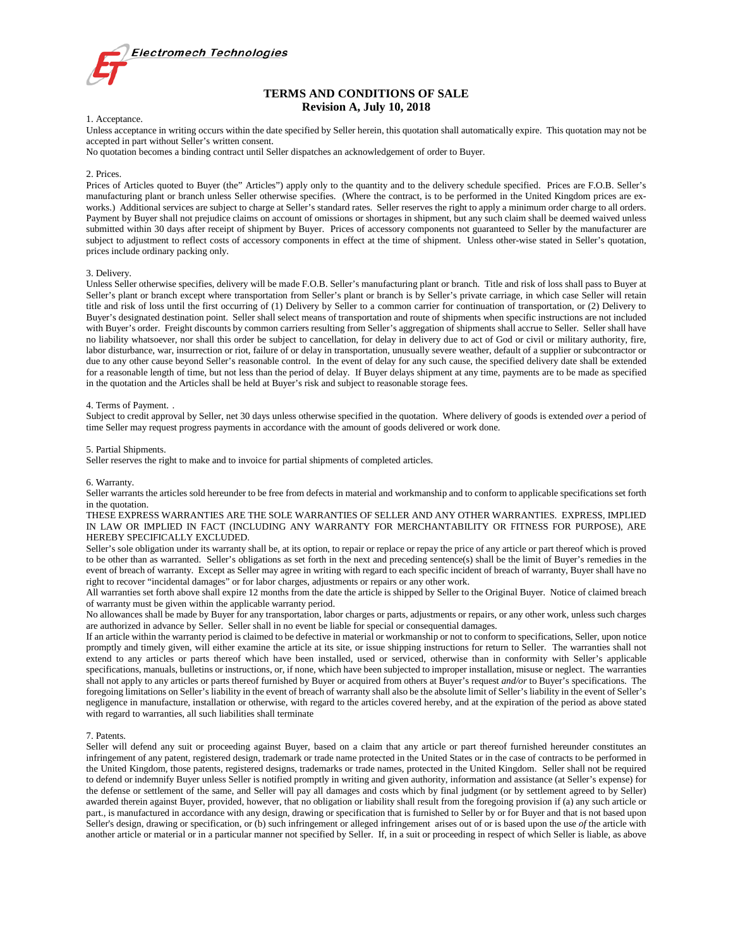

# **TERMS AND CONDITIONS OF SALE Revision A, July 10, 2018**

## 1. Acceptance.

Unless acceptance in writing occurs within the date specified by Seller herein, this quotation shall automatically expire. This quotation may not be accepted in part without Seller's written consent.

No quotation becomes a binding contract until Seller dispatches an acknowledgement of order to Buyer.

# 2. Prices.

Prices of Articles quoted to Buyer (the" Articles") apply only to the quantity and to the delivery schedule specified. Prices are F.O.B. Seller's manufacturing plant or branch unless Seller otherwise specifies. (Where the contract, is to be performed in the United Kingdom prices are exworks.) Additional services are subject to charge at Seller's standard rates. Seller reserves the right to apply a minimum order charge to all orders. Payment by Buyer shall not prejudice claims on account of omissions or shortages in shipment, but any such claim shall be deemed waived unless submitted within 30 days after receipt of shipment by Buyer. Prices of accessory components not guaranteed to Seller by the manufacturer are subject to adjustment to reflect costs of accessory components in effect at the time of shipment. Unless other-wise stated in Seller's quotation, prices include ordinary packing only.

# 3. Delivery.

Unless Seller otherwise specifies, delivery will be made F.O.B. Seller's manufacturing plant or branch. Title and risk of loss shall pass to Buyer at Seller's plant or branch except where transportation from Seller's plant or branch is by Seller's private carriage, in which case Seller will retain title and risk of loss until the first occurring of (1) Delivery by Seller to a common carrier for continuation of transportation, or (2) Delivery to Buyer's designated destination point. Seller shall select means of transportation and route of shipments when specific instructions are not included with Buyer's order. Freight discounts by common carriers resulting from Seller's aggregation of shipments shall accrue to Seller. Seller shall have no liability whatsoever, nor shall this order be subject to cancellation, for delay in delivery due to act of God or civil or military authority, fire, labor disturbance, war, insurrection or riot, failure of or delay in transportation, unusually severe weather, default of a supplier or subcontractor or due to any other cause beyond Seller's reasonable control. In the event of delay for any such cause, the specified delivery date shall be extended for a reasonable length of time, but not less than the period of delay. If Buyer delays shipment at any time, payments are to be made as specified in the quotation and the Articles shall be held at Buyer's risk and subject to reasonable storage fees.

## 4. Terms of Payment. .

Subject to credit approval by Seller, net 30 days unless otherwise specified in the quotation. Where delivery of goods is extended *over* a period of time Seller may request progress payments in accordance with the amount of goods delivered or work done.

## 5. Partial Shipments.

Seller reserves the right to make and to invoice for partial shipments of completed articles.

## 6. Warranty.

Seller warrants the articles sold hereunder to be free from defects in material and workmanship and to conform to applicable specifications set forth in the quotation.

THESE EXPRESS WARRANTIES ARE THE SOLE WARRANTIES OF SELLER AND ANY OTHER WARRANTIES. EXPRESS, IMPLIED IN LAW OR IMPLIED IN FACT (INCLUDING ANY WARRANTY FOR MERCHANTABILITY OR FITNESS FOR PURPOSE), ARE HEREBY SPECIFICALLY EXCLUDED.

Seller's sole obligation under its warranty shall be, at its option, to repair or replace or repay the price of any article or part thereof which is proved to be other than as warranted. Seller's obligations as set forth in the next and preceding sentence(s) shall be the limit of Buyer's remedies in the event of breach of warranty. Except as Seller may agree in writing with regard to each specific incident of breach of warranty, Buyer shall have no right to recover "incidental damages" or for labor charges, adjustments or repairs or any other work.

All warranties set forth above shall expire 12 months from the date the article is shipped by Seller to the Original Buyer. Notice of claimed breach of warranty must be given within the applicable warranty period.

No allowances shall be made by Buyer for any transportation, labor charges or parts, adjustments or repairs, or any other work, unless such charges are authorized in advance by Seller. Seller shall in no event be liable for special or consequential damages.

If an article within the warranty period is claimed to be defective in material or workmanship or not to conform to specifications, Seller, upon notice promptly and timely given, will either examine the article at its site, or issue shipping instructions for return to Seller. The warranties shall not extend to any articles or parts thereof which have been installed, used or serviced, otherwise than in conformity with Seller's applicable specifications, manuals, bulletins or instructions, or, if none, which have been subjected to improper installation, misuse or neglect. The warranties shall not apply to any articles or parts thereof furnished by Buyer or acquired from others at Buyer's request *and/or* to Buyer's specifications. The foregoing limitations on Seller's liability in the event of breach of warranty shall also be the absolute limit of Seller's liability in the event of Seller's negligence in manufacture, installation or otherwise, with regard to the articles covered hereby, and at the expiration of the period as above stated with regard to warranties, all such liabilities shall terminate

# 7. Patents.

Seller will defend any suit or proceeding against Buyer, based on a claim that any article or part thereof furnished hereunder constitutes an infringement of any patent, registered design, trademark or trade name protected in the United States or in the case of contracts to be performed in the United Kingdom, those patents, registered designs, trademarks or trade names, protected in the United Kingdom. Seller shall not be required to defend or indemnify Buyer unless Seller is notified promptly in writing and given authority, information and assistance (at Seller's expense) for the defense or settlement of the same, and Seller will pay all damages and costs which by final judgment (or by settlement agreed to by Seller) awarded therein against Buyer, provided, however, that no obligation or liability shall result from the foregoing provision if (a) any such article or part., is manufactured in accordance with any design, drawing or specification that is furnished to Seller by or for Buyer and that is not based upon Seller's design, drawing or specification, or (b) such infringement or alleged infringement arises out of or is based upon the use *of* the article with another article or material or in a particular manner not specified by Seller. If, in a suit or proceeding in respect of which Seller is liable, as above